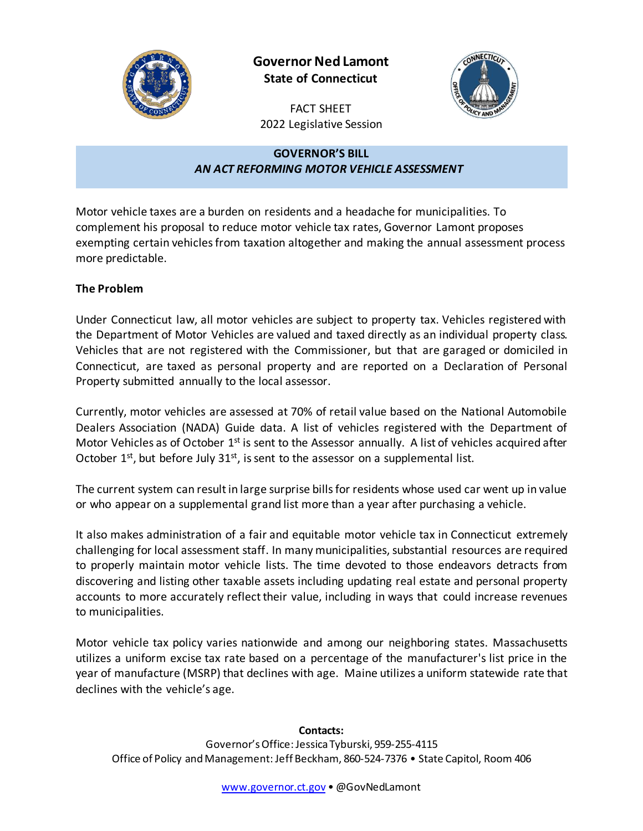

**Governor Ned Lamont State of Connecticut**



FACT SHEET 2022 Legislative Session

## **GOVERNOR'S BILL** *AN ACT REFORMING MOTOR VEHICLE ASSESSMENT*

Motor vehicle taxes are a burden on residents and a headache for municipalities. To complement his proposal to reduce motor vehicle tax rates, Governor Lamont proposes exempting certain vehicles from taxation altogether and making the annual assessment process more predictable.

## **The Problem**

Under Connecticut law, all motor vehicles are subject to property tax. Vehicles registered with the Department of Motor Vehicles are valued and taxed directly as an individual property class. Vehicles that are not registered with the Commissioner, but that are garaged or domiciled in Connecticut, are taxed as personal property and are reported on a Declaration of Personal Property submitted annually to the local assessor.

Currently, motor vehicles are assessed at 70% of retail value based on the National Automobile Dealers Association (NADA) Guide data. A list of vehicles registered with the Department of Motor Vehicles as of October 1<sup>st</sup> is sent to the Assessor annually. A list of vehicles acquired after October  $1^{st}$ , but before July  $31^{st}$ , is sent to the assessor on a supplemental list.

The current system can result in large surprise bills for residents whose used car went up in value or who appear on a supplemental grand list more than a year after purchasing a vehicle.

It also makes administration of a fair and equitable motor vehicle tax in Connecticut extremely challenging for local assessment staff. In many municipalities, substantial resources are required to properly maintain motor vehicle lists. The time devoted to those endeavors detracts from discovering and listing other taxable assets including updating real estate and personal property accounts to more accurately reflect their value, including in ways that could increase revenues to municipalities.

Motor vehicle tax policy varies nationwide and among our neighboring states. Massachusetts utilizes a uniform excise tax rate based on a percentage of the manufacturer's list price in the year of manufacture (MSRP) that declines with age. Maine utilizes a uniform statewide rate that declines with the vehicle's age.

## **Contacts:** Governor's Office: Jessica Tyburski, 959-255-4115 Office of Policy and Management: Jeff Beckham, 860-524-7376 • State Capitol, Room 406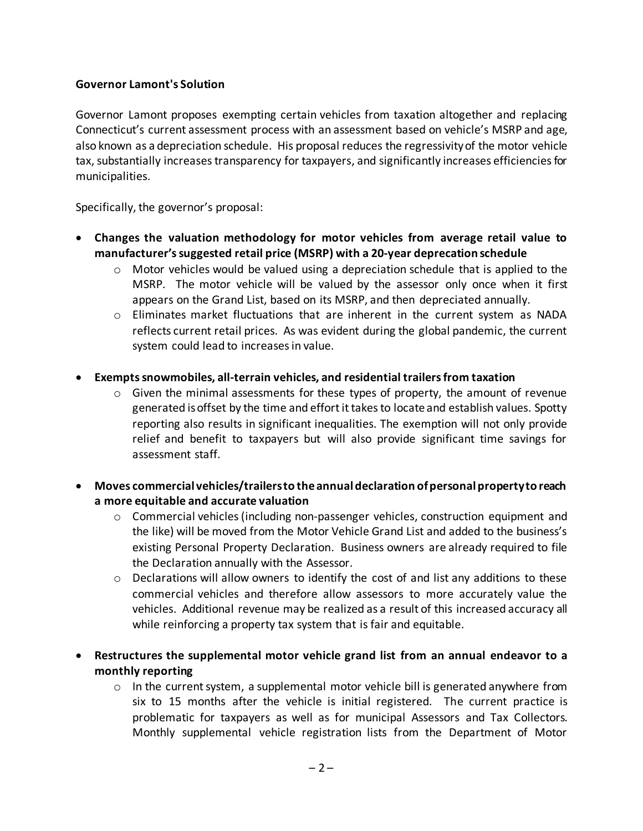## **Governor Lamont's Solution**

Governor Lamont proposes exempting certain vehicles from taxation altogether and replacing Connecticut's current assessment process with an assessment based on vehicle's MSRP and age, also known as a depreciation schedule. His proposal reduces the regressivity of the motor vehicle tax, substantially increasestransparency for taxpayers, and significantly increases efficiencies for municipalities.

Specifically, the governor's proposal:

- **Changes the valuation methodology for motor vehicles from average retail value to manufacturer's suggested retail price (MSRP) with a 20-year deprecation schedule**
	- $\circ$  Motor vehicles would be valued using a depreciation schedule that is applied to the MSRP. The motor vehicle will be valued by the assessor only once when it first appears on the Grand List, based on its MSRP, and then depreciated annually.
	- $\circ$  Eliminates market fluctuations that are inherent in the current system as NADA reflects current retail prices. As was evident during the global pandemic, the current system could lead to increases in value.
- **Exempts snowmobiles, all-terrain vehicles, and residential trailers from taxation**
	- o Given the minimal assessments for these types of property, the amount of revenue generated is offset by the time and effort it takes to locate and establish values. Spotty reporting also results in significant inequalities. The exemption will not only provide relief and benefit to taxpayers but will also provide significant time savings for assessment staff.
- **Moves commercial vehicles/trailers to the annual declaration of personal property to reach a more equitable and accurate valuation** 
	- $\circ$  Commercial vehicles (including non-passenger vehicles, construction equipment and the like) will be moved from the Motor Vehicle Grand List and added to the business's existing Personal Property Declaration. Business owners are already required to file the Declaration annually with the Assessor.
	- $\circ$  Declarations will allow owners to identify the cost of and list any additions to these commercial vehicles and therefore allow assessors to more accurately value the vehicles. Additional revenue may be realized as a result of this increased accuracy all while reinforcing a property tax system that is fair and equitable.
- **Restructures the supplemental motor vehicle grand list from an annual endeavor to a monthly reporting**
	- $\circ$  In the current system, a supplemental motor vehicle bill is generated anywhere from six to 15 months after the vehicle is initial registered. The current practice is problematic for taxpayers as well as for municipal Assessors and Tax Collectors. Monthly supplemental vehicle registration lists from the Department of Motor